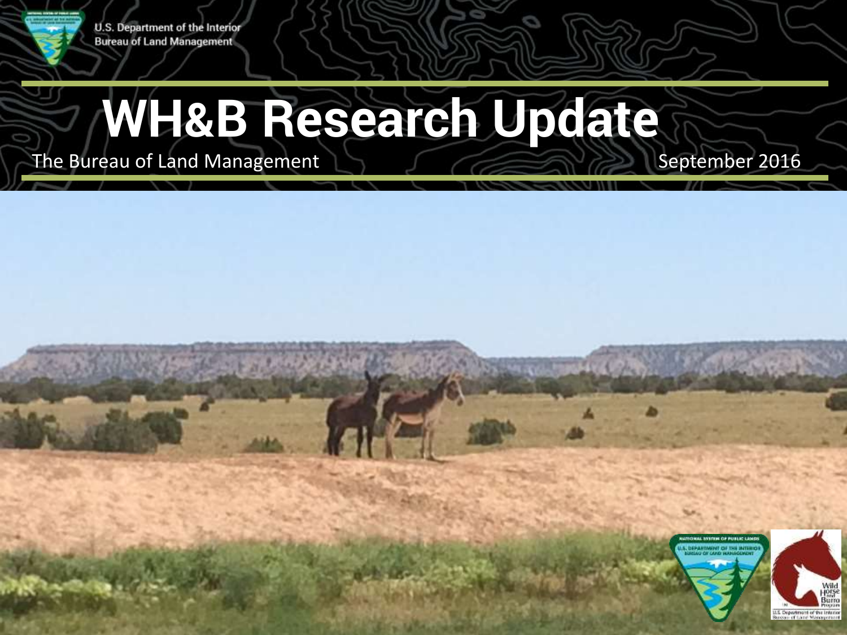

#### U.S. Department of the Interior **Bureau of Land Management**

# **WH&B Research Update**

The Bureau of Land Management  $\Box$ September 2016



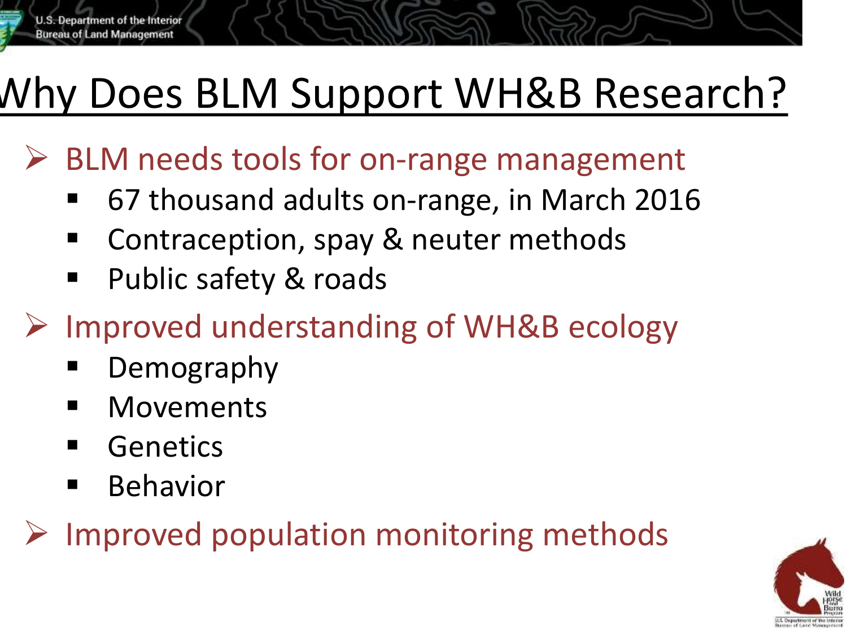## Why Does BLM Support WH&B Research?

- BLM needs tools for on-range management
	- 67 thousand adults on-range, in March 2016
	- Contraception, spay & neuter methods
	- Public safety & roads
- Improved understanding of WH&B ecology
	- Demography
	- **-** Movements
	- **Genetics**
	- Behavior
- Improved population monitoring methods

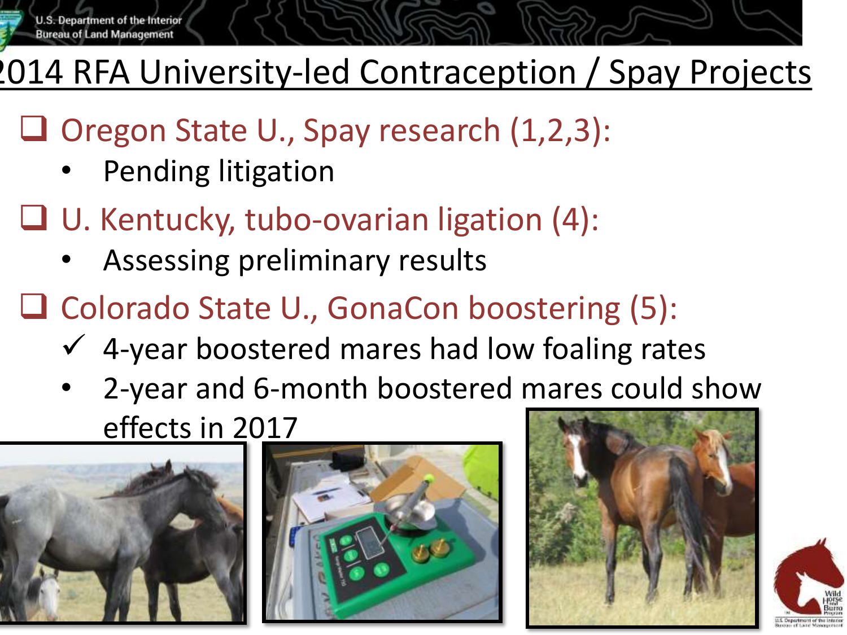

#### 2014 RFA University-led Contraception / Spay Projects

- $\Box$  Oregon State U., Spay research  $(1,2,3)$ :
	- Pending litigation
- U. Kentucky, tubo-ovarian ligation (4):
	- Assessing preliminary results
- **□ Colorado State U., GonaCon boostering (5):** 
	- $\checkmark$  4-year boostered mares had low foaling rates
	- 2-year and 6-month boostered mares could show effects in 2017







![](_page_2_Picture_12.jpeg)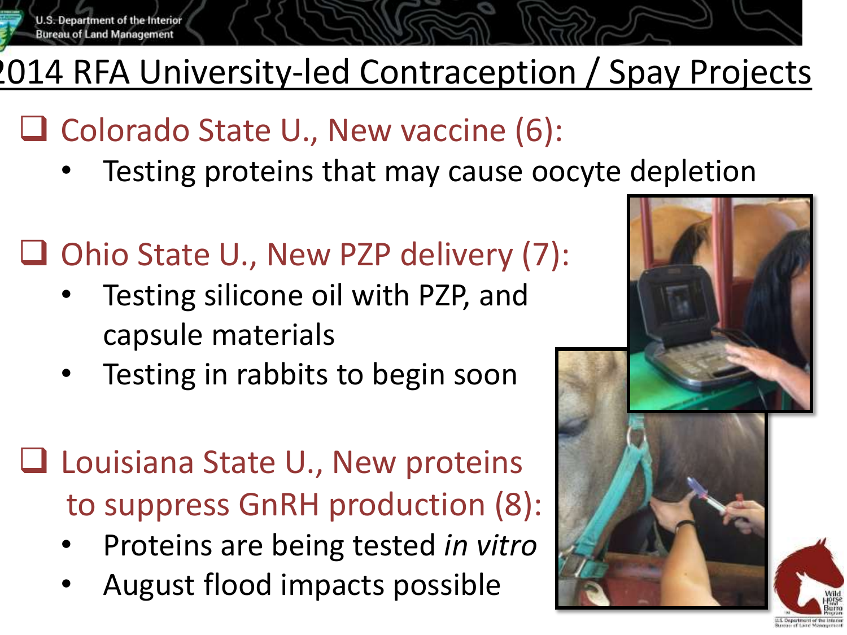![](_page_3_Picture_0.jpeg)

#### 2014 RFA University-led Contraception / Spay Projects

- $\Box$  Colorado State U., New vaccine (6):
	- Testing proteins that may cause oocyte depletion
- $\Box$  Ohio State U., New PZP delivery (7):
	- Testing silicone oil with PZP, and capsule materials
	- Testing in rabbits to begin soon
- □ Louisiana State U., New proteins to suppress GnRH production (8):
	- Proteins are being tested *in vitro*
	- August flood impacts possible

![](_page_3_Picture_10.jpeg)

LLS. Department of the Inter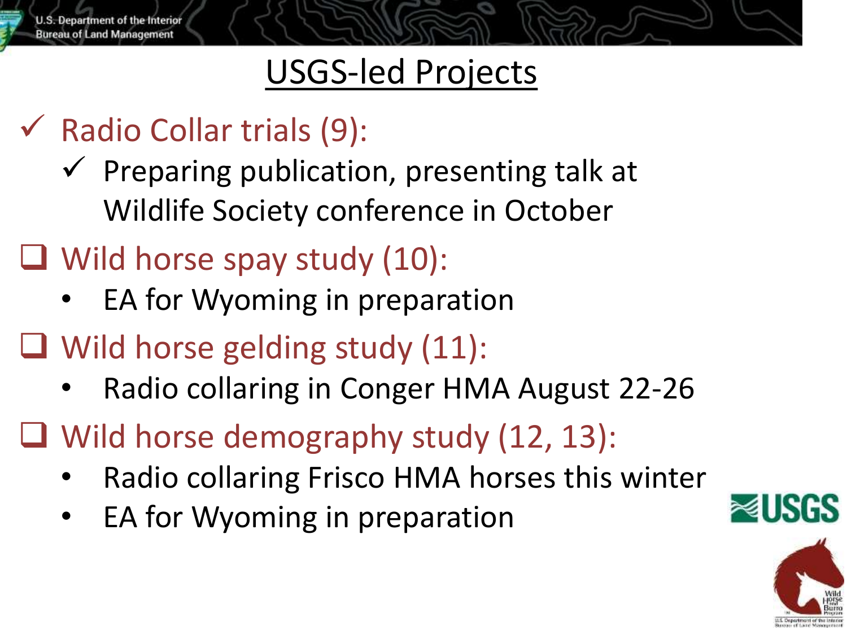U.S. Department of the Interior **Bureau of Land Management** 

#### USGS-led Projects

- $\checkmark$  Radio Collar trials (9):
	- $\checkmark$  Preparing publication, presenting talk at Wildlife Society conference in October
- Wild horse spay study (10):
	- EA for Wyoming in preparation
- $\Box$  Wild horse gelding study (11):
	- Radio collaring in Conger HMA August 22-26
- $\Box$  Wild horse demography study (12, 13):
	- Radio collaring Frisco HMA horses this winter
	- EA for Wyoming in preparation

![](_page_4_Picture_11.jpeg)

![](_page_4_Picture_12.jpeg)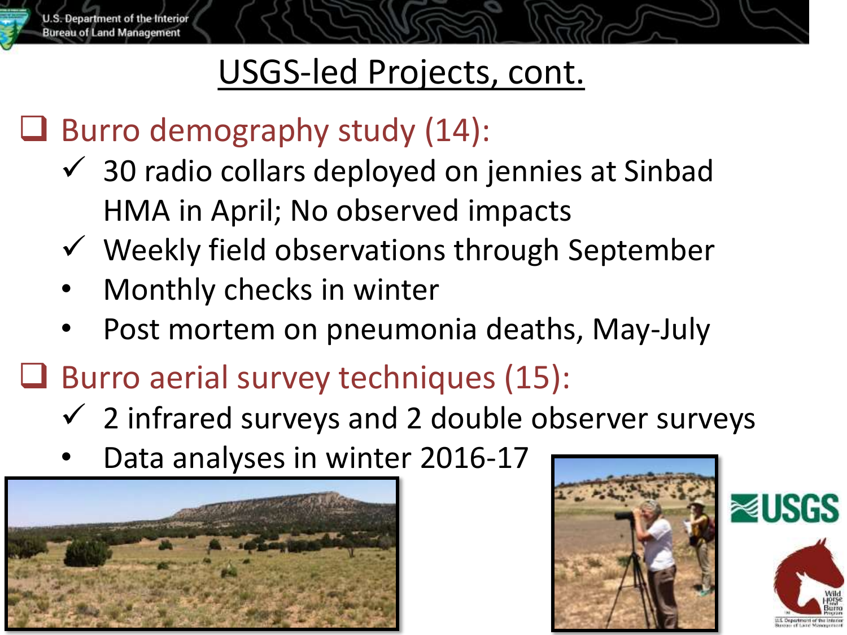U.S. Department of the Interior **Bureau of Land Management** 

#### USGS-led Projects, cont.

#### $\Box$  Burro demography study (14):

- $\checkmark$  30 radio collars deployed on jennies at Sinbad HMA in April; No observed impacts
- $\checkmark$  Weekly field observations through September
- Monthly checks in winter
- Post mortem on pneumonia deaths, May-July
- $\Box$  Burro aerial survey techniques (15):
	- $\checkmark$  2 infrared surveys and 2 double observer surveys
	- Data analyses in winter 2016-17

![](_page_5_Picture_10.jpeg)

![](_page_5_Picture_11.jpeg)

![](_page_5_Picture_12.jpeg)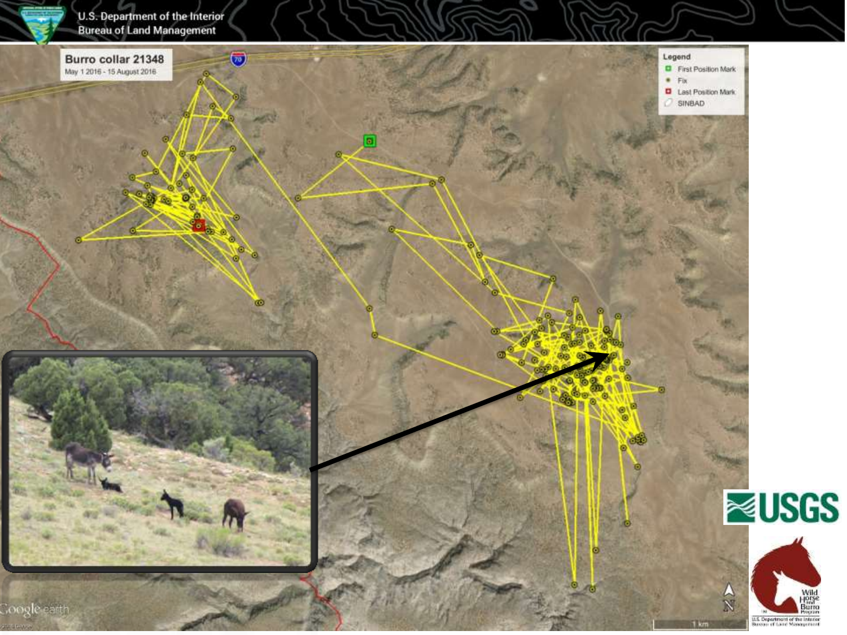![](_page_6_Picture_0.jpeg)

U.S. Department of the Interior<br>Bureau of Land Management

![](_page_6_Picture_2.jpeg)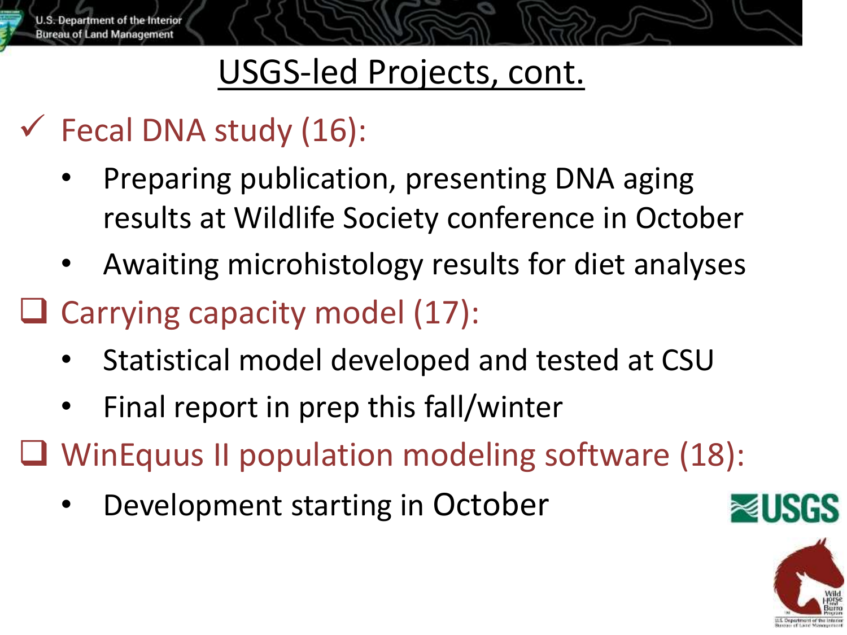### USGS-led Projects, cont.

### $\checkmark$  Fecal DNA study (16):

- Preparing publication, presenting DNA aging results at Wildlife Society conference in October
- Awaiting microhistology results for diet analyses
- $\Box$  Carrying capacity model (17):
	- Statistical model developed and tested at CSU
	- Final report in prep this fall/winter
- WinEquus II population modeling software (18):
	- Development starting in October

![](_page_7_Picture_10.jpeg)

![](_page_7_Picture_11.jpeg)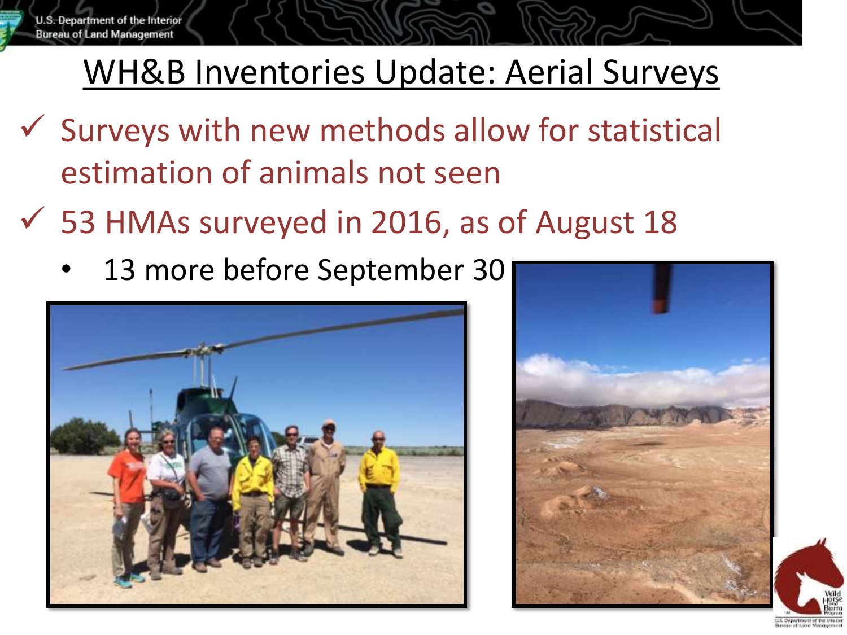### WH&B Inventories Update: Aerial Surveys

- $\checkmark$  Surveys with new methods allow for statistical estimation of animals not seen
- $\checkmark$  53 HMAs surveyed in 2016, as of August 18
	- 13 more before September 30

![](_page_8_Picture_5.jpeg)

![](_page_8_Picture_6.jpeg)